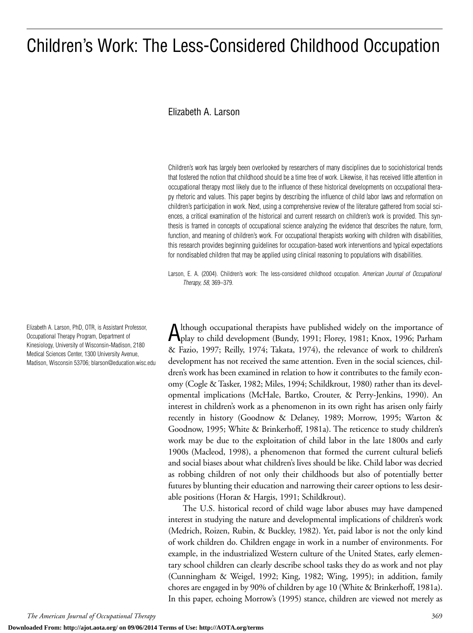# Children's Work: The Less-Considered Childhood Occupation

#### Elizabeth A. Larson

Children's work has largely been overlooked by researchers of many disciplines due to sociohistorical trends that fostered the notion that childhood should be a time free of work. Likewise, it has received little attention in occupational therapy most likely due to the influence of these historical developments on occupational therapy rhetoric and values. This paper begins by describing the influence of child labor laws and reformation on children's participation in work. Next, using a comprehensive review of the literature gathered from social sciences, a critical examination of the historical and current research on children's work is provided. This synthesis is framed in concepts of occupational science analyzing the evidence that describes the nature, form, function, and meaning of children's work. For occupational therapists working with children with disabilities, this research provides beginning guidelines for occupation-based work interventions and typical expectations for nondisabled children that may be applied using clinical reasoning to populations with disabilities.

Larson, E. A. (2004). Children's work: The less-considered childhood occupation. *American Journal of Occupational Therapy, 58,* 369–379.

Although occupational therapists have published widely on the importance of play to child development (Bundy, 1991; Florey, 1981; Knox, 1996; Parham & Fazio, 1997; Reilly, 1974; Takata, 1974), the relevance of work to children's development has not received the same attention. Even in the social sciences, children's work has been examined in relation to how it contributes to the family economy (Cogle & Tasker, 1982; Miles, 1994; Schildkrout, 1980) rather than its developmental implications (McHale, Bartko, Crouter, & Perry-Jenkins, 1990). An interest in children's work as a phenomenon in its own right has arisen only fairly recently in history (Goodnow & Delaney, 1989; Morrow, 1995; Warton & Goodnow, 1995; White & Brinkerhoff, 1981a). The reticence to study children's work may be due to the exploitation of child labor in the late 1800s and early 1900s (Macleod, 1998), a phenomenon that formed the current cultural beliefs and social biases about what children's lives should be like. Child labor was decried as robbing children of not only their childhoods but also of potentially better futures by blunting their education and narrowing their career options to less desirable positions (Horan & Hargis, 1991; Schildkrout).

The U.S. historical record of child wage labor abuses may have dampened interest in studying the nature and developmental implications of children's work (Medrich, Roizen, Rubin, & Buckley, 1982). Yet, paid labor is not the only kind of work children do. Children engage in work in a number of environments. For example, in the industrialized Western culture of the United States, early elementary school children can clearly describe school tasks they do as work and not play (Cunningham & Weigel, 1992; King, 1982; Wing, 1995); in addition, family chores are engaged in by 90% of children by age 10 (White & Brinkerhoff, 1981a). In this paper, echoing Morrow's (1995) stance, children are viewed not merely as

Elizabeth A. Larson, PhD, OTR, is Assistant Professor, Occupational Therapy Program, Department of Kinesiology, University of Wisconsin-Madison, 2180 Medical Sciences Center, 1300 University Avenue, Madison, Wisconsin 53706; blarson@education.wisc.edu

**Downloaded From: http://ajot.aota.org/ on 09/06/2014 Terms of Use: http://AOTA.org/terms**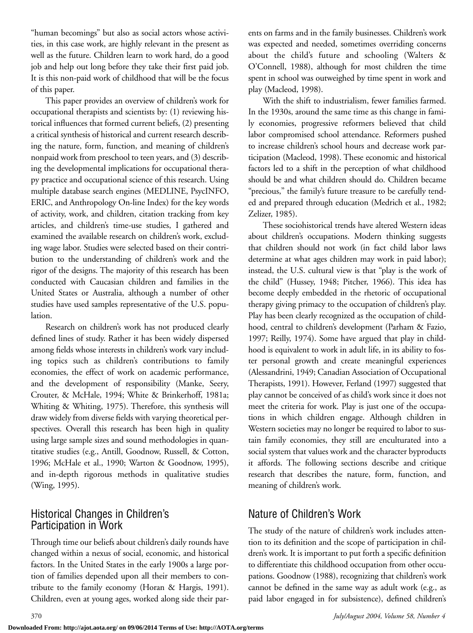"human becomings" but also as social actors whose activities, in this case work, are highly relevant in the present as well as the future. Children learn to work hard, do a good job and help out long before they take their first paid job. It is this non-paid work of childhood that will be the focus of this paper.

This paper provides an overview of children's work for occupational therapists and scientists by: (1) reviewing historical influences that formed current beliefs, (2) presenting a critical synthesis of historical and current research describing the nature, form, function, and meaning of children's nonpaid work from preschool to teen years, and (3) describing the developmental implications for occupational therapy practice and occupational science of this research. Using multiple database search engines (MEDLINE, PsycINFO, ERIC, and Anthropology On-line Index) for the key words of activity, work, and children, citation tracking from key articles, and children's time-use studies, I gathered and examined the available research on children's work, excluding wage labor. Studies were selected based on their contribution to the understanding of children's work and the rigor of the designs. The majority of this research has been conducted with Caucasian children and families in the United States or Australia, although a number of other studies have used samples representative of the U.S. population.

Research on children's work has not produced clearly defined lines of study. Rather it has been widely dispersed among fields whose interests in children's work vary including topics such as children's contributions to family economies, the effect of work on academic performance, and the development of responsibility (Manke, Seery, Crouter, & McHale, 1994; White & Brinkerhoff, 1981a; Whiting & Whiting, 1975). Therefore, this synthesis will draw widely from diverse fields with varying theoretical perspectives. Overall this research has been high in quality using large sample sizes and sound methodologies in quantitative studies (e.g., Antill, Goodnow, Russell, & Cotton, 1996; McHale et al., 1990; Warton & Goodnow, 1995), and in-depth rigorous methods in qualitative studies (Wing, 1995).

## Historical Changes in Children's Participation in Work

Through time our beliefs about children's daily rounds have changed within a nexus of social, economic, and historical factors. In the United States in the early 1900s a large portion of families depended upon all their members to contribute to the family economy (Horan & Hargis, 1991). Children, even at young ages, worked along side their parents on farms and in the family businesses. Children's work was expected and needed, sometimes overriding concerns about the child's future and schooling (Walters & O'Connell, 1988), although for most children the time spent in school was outweighed by time spent in work and play (Macleod, 1998).

With the shift to industrialism, fewer families farmed. In the 1930s, around the same time as this change in family economies, progressive reformers believed that child labor compromised school attendance. Reformers pushed to increase children's school hours and decrease work participation (Macleod, 1998). These economic and historical factors led to a shift in the perception of what childhood should be and what children should do. Children became "precious," the family's future treasure to be carefully tended and prepared through education (Medrich et al., 1982; Zelizer, 1985).

These sociohistorical trends have altered Western ideas about children's occupations. Modern thinking suggests that children should not work (in fact child labor laws determine at what ages children may work in paid labor); instead, the U.S. cultural view is that "play is the work of the child" (Hussey, 1948; Pitcher, 1966). This idea has become deeply embedded in the rhetoric of occupational therapy giving primacy to the occupation of children's play. Play has been clearly recognized as the occupation of childhood, central to children's development (Parham & Fazio, 1997; Reilly, 1974). Some have argued that play in childhood is equivalent to work in adult life, in its ability to foster personal growth and create meaningful experiences (Alessandrini, 1949; Canadian Association of Occupational Therapists, 1991). However, Ferland (1997) suggested that play cannot be conceived of as child's work since it does not meet the criteria for work. Play is just one of the occupations in which children engage. Although children in Western societies may no longer be required to labor to sustain family economies, they still are enculturated into a social system that values work and the character byproducts it affords. The following sections describe and critique research that describes the nature, form, function, and meaning of children's work.

# Nature of Children's Work

The study of the nature of children's work includes attention to its definition and the scope of participation in children's work. It is important to put forth a specific definition to differentiate this childhood occupation from other occupations. Goodnow (1988), recognizing that children's work cannot be defined in the same way as adult work (e.g., as paid labor engaged in for subsistence), defined children's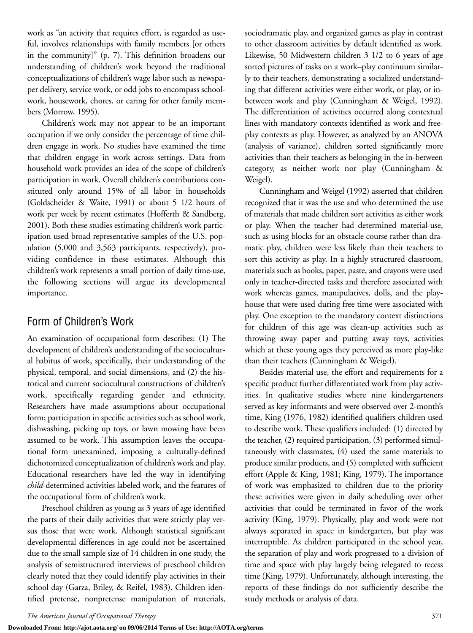work as "an activity that requires effort, is regarded as useful, involves relationships with family members [or others in the community]" (p. 7). This definition broadens our understanding of children's work beyond the traditional conceptualizations of children's wage labor such as newspaper delivery, service work, or odd jobs to encompass schoolwork, housework, chores, or caring for other family members (Morrow, 1995).

Children's work may not appear to be an important occupation if we only consider the percentage of time children engage in work. No studies have examined the time that children engage in work across settings. Data from household work provides an idea of the scope of children's participation in work. Overall children's contributions constituted only around 15% of all labor in households (Goldscheider & Waite, 1991) or about 5 1/2 hours of work per week by recent estimates (Hofferth & Sandberg, 2001). Both these studies estimating children's work participation used broad representative samples of the U.S. population (5,000 and 3,563 participants, respectively), providing confidence in these estimates. Although this children's work represents a small portion of daily time-use, the following sections will argue its developmental importance.

## Form of Children's Work

An examination of occupational form describes: (1) The development of children's understanding of the sociocultural habitus of work, specifically, their understanding of the physical, temporal, and social dimensions, and (2) the historical and current sociocultural constructions of children's work, specifically regarding gender and ethnicity. Researchers have made assumptions about occupational form; participation in specific activities such as school work, dishwashing, picking up toys, or lawn mowing have been assumed to be work. This assumption leaves the occupational form unexamined, imposing a culturally-defined dichotomized conceptualization of children's work and play. Educational researchers have led the way in identifying *child*-determined activities labeled work, and the features of the occupational form of children's work.

Preschool children as young as 3 years of age identified the parts of their daily activities that were strictly play versus those that were work. Although statistical significant developmental differences in age could not be ascertained due to the small sample size of 14 children in one study, the analysis of semistructured interviews of preschool children clearly noted that they could identify play activities in their school day (Garza, Briley, & Reifel, 1983). Children identified pretense, nonpretense manipulation of materials,

sociodramatic play, and organized games as play in contrast to other classroom activities by default identified as work. Likewise, 50 Midwestern children 3 1/2 to 6 years of age sorted pictures of tasks on a work–play continuum similarly to their teachers, demonstrating a socialized understanding that different activities were either work, or play, or inbetween work and play (Cunningham & Weigel, 1992). The differentiation of activities occurred along contextual lines with mandatory contexts identified as work and freeplay contexts as play. However, as analyzed by an ANOVA (analysis of variance), children sorted significantly more activities than their teachers as belonging in the in-between category, as neither work nor play (Cunningham & Weigel).

Cunningham and Weigel (1992) asserted that children recognized that it was the use and who determined the use of materials that made children sort activities as either work or play. When the teacher had determined material-use, such as using blocks for an obstacle course rather than dramatic play, children were less likely than their teachers to sort this activity as play. In a highly structured classroom, materials such as books, paper, paste, and crayons were used only in teacher-directed tasks and therefore associated with work whereas games, manipulatives, dolls, and the playhouse that were used during free time were associated with play. One exception to the mandatory context distinctions for children of this age was clean-up activities such as throwing away paper and putting away toys, activities which at these young ages they perceived as more play-like than their teachers (Cunningham & Weigel).

Besides material use, the effort and requirements for a specific product further differentiated work from play activities. In qualitative studies where nine kindergarteners served as key informants and were observed over 2-month's time, King (1976, 1982) identified qualifiers children used to describe work. These qualifiers included: (1) directed by the teacher, (2) required participation, (3) performed simultaneously with classmates, (4) used the same materials to produce similar products, and (5) completed with sufficient effort (Apple & King, 1981; King, 1979). The importance of work was emphasized to children due to the priority these activities were given in daily scheduling over other activities that could be terminated in favor of the work activity (King, 1979). Physically, play and work were not always separated in space in kindergarten, but play was interruptible. As children participated in the school year, the separation of play and work progressed to a division of time and space with play largely being relegated to recess time (King, 1979). Unfortunately, although interesting, the reports of these findings do not sufficiently describe the study methods or analysis of data.

**Downloaded From: http://ajot.aota.org/ on 09/06/2014 Terms of Use: http://AOTA.org/terms**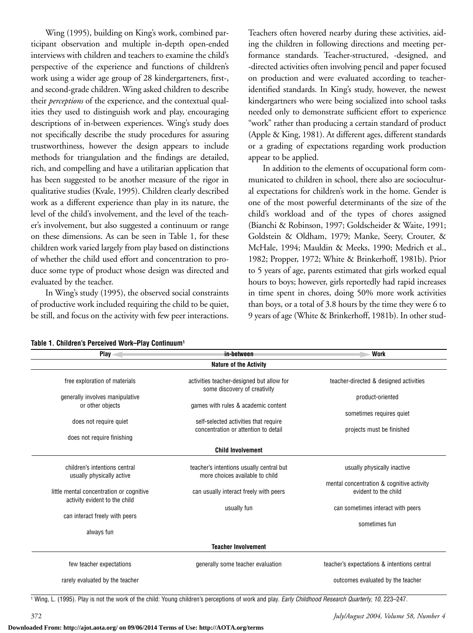Wing (1995), building on King's work, combined participant observation and multiple in-depth open-ended interviews with children and teachers to examine the child's perspective of the experience and functions of children's work using a wider age group of 28 kindergarteners, first-, and second-grade children. Wing asked children to describe their *perceptions* of the experience, and the contextual qualities they used to distinguish work and play, encouraging descriptions of in-between experiences. Wing's study does not specifically describe the study procedures for assuring trustworthiness, however the design appears to include methods for triangulation and the findings are detailed, rich, and compelling and have a utilitarian application that has been suggested to be another measure of the rigor in qualitative studies (Kvale, 1995). Children clearly described work as a different experience than play in its nature, the level of the child's involvement, and the level of the teacher's involvement, but also suggested a continuum or range on these dimensions. As can be seen in Table 1, for these children work varied largely from play based on distinctions of whether the child used effort and concentration to produce some type of product whose design was directed and evaluated by the teacher.

In Wing's study (1995), the observed social constraints of productive work included requiring the child to be quiet, be still, and focus on the activity with few peer interactions.

**Table 1. Children's Perceived Work–Play Continuum1**

Teachers often hovered nearby during these activities, aiding the children in following directions and meeting performance standards. Teacher-structured, -designed, and -directed activities often involving pencil and paper focused on production and were evaluated according to teacheridentified standards. In King's study, however, the newest kindergartners who were being socialized into school tasks needed only to demonstrate sufficient effort to experience "work" rather than producing a certain standard of product (Apple & King, 1981). At different ages, different standards or a grading of expectations regarding work production appear to be applied.

In addition to the elements of occupational form communicated to children in school, there also are sociocultural expectations for children's work in the home. Gender is one of the most powerful determinants of the size of the child's workload and of the types of chores assigned (Bianchi & Robinson, 1997; Goldscheider & Waite, 1991; Goldstein & Oldham, 1979; Manke, Seery, Crouter, & McHale, 1994; Mauldin & Meeks, 1990; Medrich et al., 1982; Propper, 1972; White & Brinkerhoff, 1981b). Prior to 5 years of age, parents estimated that girls worked equal hours to boys; however, girls reportedly had rapid increases in time spent in chores, doing 50% more work activities than boys, or a total of 3.8 hours by the time they were 6 to 9 years of age (White & Brinkerhoff, 1981b). In other stud-

| $Plav -$                                                                  | in-between                                                                | <b>Work</b>                                 |
|---------------------------------------------------------------------------|---------------------------------------------------------------------------|---------------------------------------------|
|                                                                           | <b>Nature of the Activity</b>                                             |                                             |
| free exploration of materials                                             | activities teacher-designed but allow for<br>some discovery of creativity | teacher-directed & designed activities      |
| generally involves manipulative                                           |                                                                           | product-oriented                            |
| or other objects                                                          | games with rules & academic content                                       |                                             |
|                                                                           |                                                                           | sometimes requires quiet                    |
| does not require quiet                                                    | self-selected activities that require                                     |                                             |
|                                                                           | concentration or attention to detail                                      | projects must be finished                   |
| does not require finishing                                                |                                                                           |                                             |
|                                                                           | <b>Child Involvement</b>                                                  |                                             |
| children's intentions central                                             | teacher's intentions usually central but                                  | usually physically inactive                 |
| usually physically active                                                 | more choices available to child                                           |                                             |
|                                                                           |                                                                           | mental concentration & cognitive activity   |
| little mental concentration or cognitive<br>activity evident to the child | can usually interact freely with peers                                    | evident to the child                        |
|                                                                           | usually fun                                                               | can sometimes interact with peers           |
| can interact freely with peers                                            |                                                                           |                                             |
|                                                                           |                                                                           | sometimes fun                               |
| always fun                                                                |                                                                           |                                             |
|                                                                           | <b>Teacher Involvement</b>                                                |                                             |
| few teacher expectations                                                  | generally some teacher evaluation                                         | teacher's expectations & intentions central |
| rarely evaluated by the teacher                                           |                                                                           | outcomes evaluated by the teacher           |

<sup>1</sup> Wing, L. (1995). Play is not the work of the child: Young children's perceptions of work and play. *Early Childhood Research Quarterly, 10,* 223–247.

**Downloaded From: http://ajot.aota.org/ on 09/06/2014 Terms of Use: http://AOTA.org/terms**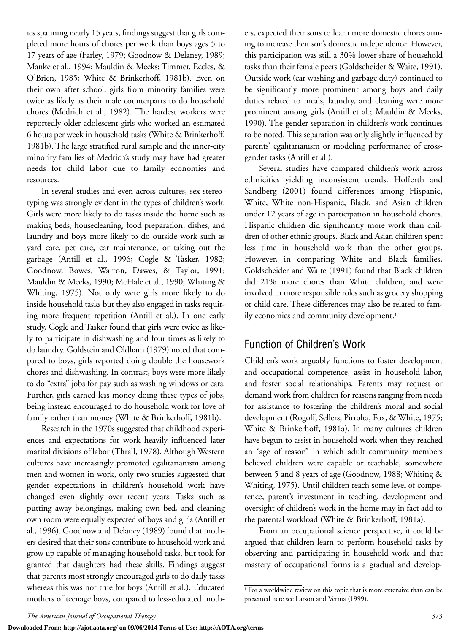ies spanning nearly 15 years, findings suggest that girls completed more hours of chores per week than boys ages 5 to 17 years of age (Farley, 1979; Goodnow & Delaney, 1989; Manke et al., 1994; Mauldin & Meeks; Timmer, Eccles, & O'Brien, 1985; White & Brinkerhoff, 1981b). Even on their own after school, girls from minority families were twice as likely as their male counterparts to do household chores (Medrich et al., 1982). The hardest workers were reportedly older adolescent girls who worked an estimated 6 hours per week in household tasks (White & Brinkerhoff, 1981b). The large stratified rural sample and the inner-city minority families of Medrich's study may have had greater needs for child labor due to family economies and resources.

In several studies and even across cultures, sex stereotyping was strongly evident in the types of children's work. Girls were more likely to do tasks inside the home such as making beds, housecleaning, food preparation, dishes, and laundry and boys more likely to do outside work such as yard care, pet care, car maintenance, or taking out the garbage (Antill et al., 1996; Cogle & Tasker, 1982; Goodnow, Bowes, Warton, Dawes, & Taylor, 1991; Mauldin & Meeks, 1990; McHale et al., 1990; Whiting & Whiting, 1975). Not only were girls more likely to do inside household tasks but they also engaged in tasks requiring more frequent repetition (Antill et al.). In one early study, Cogle and Tasker found that girls were twice as likely to participate in dishwashing and four times as likely to do laundry. Goldstein and Oldham (1979) noted that compared to boys, girls reported doing double the housework chores and dishwashing. In contrast, boys were more likely to do "extra" jobs for pay such as washing windows or cars. Further, girls earned less money doing these types of jobs, being instead encouraged to do household work for love of family rather than money (White & Brinkerhoff, 1981b).

Research in the 1970s suggested that childhood experiences and expectations for work heavily influenced later marital divisions of labor (Thrall, 1978). Although Western cultures have increasingly promoted egalitarianism among men and women in work, only two studies suggested that gender expectations in children's household work have changed even slightly over recent years. Tasks such as putting away belongings, making own bed, and cleaning own room were equally expected of boys and girls (Antill et al., 1996). Goodnow and Delaney (1989) found that mothers desired that their sons contribute to household work and grow up capable of managing household tasks, but took for granted that daughters had these skills. Findings suggest that parents most strongly encouraged girls to do daily tasks whereas this was not true for boys (Antill et al.). Educated mothers of teenage boys, compared to less-educated mothers, expected their sons to learn more domestic chores aiming to increase their son's domestic independence. However, this participation was still a 30% lower share of household tasks than their female peers (Goldscheider & Waite, 1991). Outside work (car washing and garbage duty) continued to be significantly more prominent among boys and daily duties related to meals, laundry, and cleaning were more prominent among girls (Antill et al.; Mauldin & Meeks, 1990). The gender separation in children's work continues to be noted. This separation was only slightly influenced by parents' egalitarianism or modeling performance of crossgender tasks (Antill et al.).

Several studies have compared children's work across ethnicities yielding inconsistent trends. Hofferth and Sandberg (2001) found differences among Hispanic, White, White non-Hispanic, Black, and Asian children under 12 years of age in participation in household chores. Hispanic children did significantly more work than children of other ethnic groups. Black and Asian children spent less time in household work than the other groups. However, in comparing White and Black families, Goldscheider and Waite (1991) found that Black children did 21% more chores than White children, and were involved in more responsible roles such as grocery shopping or child care. These differences may also be related to family economies and community development.<sup>1</sup>

## Function of Children's Work

Children's work arguably functions to foster development and occupational competence, assist in household labor, and foster social relationships. Parents may request or demand work from children for reasons ranging from needs for assistance to fostering the children's moral and social development (Rogoff, Sellers, Pirrolta, Fox, & White, 1975; White & Brinkerhoff, 1981a). In many cultures children have begun to assist in household work when they reached an "age of reason" in which adult community members believed children were capable or teachable, somewhere between 5 and 8 years of age (Goodnow, 1988; Whiting & Whiting, 1975). Until children reach some level of competence, parent's investment in teaching, development and oversight of children's work in the home may in fact add to the parental workload (White & Brinkerhoff, 1981a).

From an occupational science perspective, it could be argued that children learn to perform household tasks by observing and participating in household work and that mastery of occupational forms is a gradual and develop-

**Downloaded From: http://ajot.aota.org/ on 09/06/2014 Terms of Use: http://AOTA.org/terms**

 $\overline{1$  For a worldwide review on this topic that is more extensive than can be presented here see Larson and Verma (1999).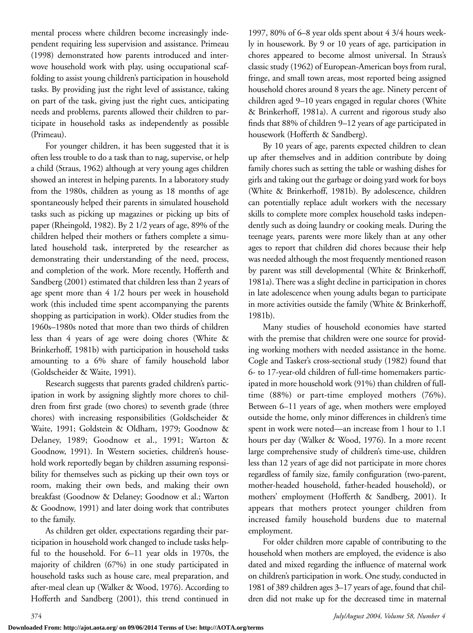mental process where children become increasingly independent requiring less supervision and assistance. Primeau (1998) demonstrated how parents introduced and interwove household work with play, using occupational scaffolding to assist young children's participation in household tasks. By providing just the right level of assistance, taking on part of the task, giving just the right cues, anticipating needs and problems, parents allowed their children to participate in household tasks as independently as possible (Primeau).

For younger children, it has been suggested that it is often less trouble to do a task than to nag, supervise, or help a child (Straus, 1962) although at very young ages children showed an interest in helping parents. In a laboratory study from the 1980s, children as young as 18 months of age spontaneously helped their parents in simulated household tasks such as picking up magazines or picking up bits of paper (Rheingold, 1982). By 2 1/2 years of age, 89% of the children helped their mothers or fathers complete a simulated household task, interpreted by the researcher as demonstrating their understanding of the need, process, and completion of the work. More recently, Hofferth and Sandberg (2001) estimated that children less than 2 years of age spent more than 4 1/2 hours per week in household work (this included time spent accompanying the parents shopping as participation in work). Older studies from the 1960s–1980s noted that more than two thirds of children less than 4 years of age were doing chores (White & Brinkerhoff, 1981b) with participation in household tasks amounting to a 6% share of family household labor (Goldscheider & Waite, 1991).

Research suggests that parents graded children's participation in work by assigning slightly more chores to children from first grade (two chores) to seventh grade (three chores) with increasing responsibilities (Goldscheider & Waite, 1991; Goldstein & Oldham, 1979; Goodnow & Delaney, 1989; Goodnow et al., 1991; Warton & Goodnow, 1991). In Western societies, children's household work reportedly began by children assuming responsibility for themselves such as picking up their own toys or room, making their own beds, and making their own breakfast (Goodnow & Delaney; Goodnow et al.; Warton & Goodnow, 1991) and later doing work that contributes to the family.

As children get older, expectations regarding their participation in household work changed to include tasks helpful to the household. For 6–11 year olds in 1970s, the majority of children (67%) in one study participated in household tasks such as house care, meal preparation, and after-meal clean up (Walker & Wood, 1976). According to Hofferth and Sandberg (2001), this trend continued in

1997, 80% of 6–8 year olds spent about 4 3/4 hours weekly in housework. By 9 or 10 years of age, participation in chores appeared to become almost universal. In Straus's classic study (1962) of European-American boys from rural, fringe, and small town areas, most reported being assigned household chores around 8 years the age. Ninety percent of children aged 9–10 years engaged in regular chores (White & Brinkerhoff, 1981a). A current and rigorous study also finds that 88% of children 9–12 years of age participated in housework (Hofferth & Sandberg).

By 10 years of age, parents expected children to clean up after themselves and in addition contribute by doing family chores such as setting the table or washing dishes for girls and taking out the garbage or doing yard work for boys (White & Brinkerhoff, 1981b). By adolescence, children can potentially replace adult workers with the necessary skills to complete more complex household tasks independently such as doing laundry or cooking meals. During the teenage years, parents were more likely than at any other ages to report that children did chores because their help was needed although the most frequently mentioned reason by parent was still developmental (White & Brinkerhoff, 1981a). There was a slight decline in participation in chores in late adolescence when young adults began to participate in more activities outside the family (White & Brinkerhoff, 1981b).

Many studies of household economies have started with the premise that children were one source for providing working mothers with needed assistance in the home. Cogle and Tasker's cross-sectional study (1982) found that 6- to 17-year-old children of full-time homemakers participated in more household work (91%) than children of fulltime (88%) or part-time employed mothers (76%). Between 6–11 years of age, when mothers were employed outside the home, only minor differences in children's time spent in work were noted—an increase from 1 hour to 1.1 hours per day (Walker & Wood, 1976). In a more recent large comprehensive study of children's time-use, children less than 12 years of age did not participate in more chores regardless of family size, family configuration (two-parent, mother-headed household, father-headed household), or mothers' employment (Hofferth & Sandberg, 2001). It appears that mothers protect younger children from increased family household burdens due to maternal employment.

For older children more capable of contributing to the household when mothers are employed, the evidence is also dated and mixed regarding the influence of maternal work on children's participation in work. One study, conducted in 1981 of 389 children ages 3–17 years of age, found that children did not make up for the decreased time in maternal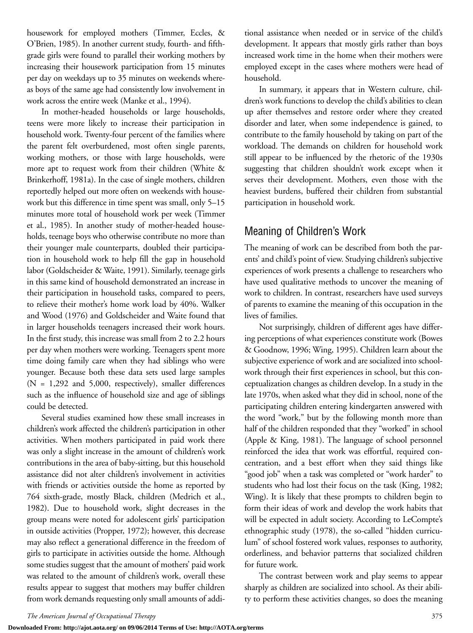housework for employed mothers (Timmer, Eccles, & O'Brien, 1985). In another current study, fourth- and fifthgrade girls were found to parallel their working mothers by increasing their housework participation from 15 minutes per day on weekdays up to 35 minutes on weekends whereas boys of the same age had consistently low involvement in work across the entire week (Manke et al., 1994).

In mother-headed households or large households, teens were more likely to increase their participation in household work. Twenty-four percent of the families where the parent felt overburdened, most often single parents, working mothers, or those with large households, were more apt to request work from their children (White & Brinkerhoff, 1981a). In the case of single mothers, children reportedly helped out more often on weekends with housework but this difference in time spent was small, only 5–15 minutes more total of household work per week (Timmer et al., 1985). In another study of mother-headed households, teenage boys who otherwise contribute no more than their younger male counterparts, doubled their participation in household work to help fill the gap in household labor (Goldscheider & Waite, 1991). Similarly, teenage girls in this same kind of household demonstrated an increase in their participation in household tasks, compared to peers, to relieve their mother's home work load by 40%. Walker and Wood (1976) and Goldscheider and Waite found that in larger households teenagers increased their work hours. In the first study, this increase was small from 2 to 2.2 hours per day when mothers were working. Teenagers spent more time doing family care when they had siblings who were younger. Because both these data sets used large samples (N = 1,292 and 5,000, respectively), smaller differences such as the influence of household size and age of siblings could be detected.

Several studies examined how these small increases in children's work affected the children's participation in other activities. When mothers participated in paid work there was only a slight increase in the amount of children's work contributions in the area of baby-sitting, but this household assistance did not alter children's involvement in activities with friends or activities outside the home as reported by 764 sixth-grade, mostly Black, children (Medrich et al., 1982). Due to household work, slight decreases in the group means were noted for adolescent girls' participation in outside activities (Propper, 1972); however, this decrease may also reflect a generational difference in the freedom of girls to participate in activities outside the home. Although some studies suggest that the amount of mothers' paid work was related to the amount of children's work, overall these results appear to suggest that mothers may buffer children from work demands requesting only small amounts of additional assistance when needed or in service of the child's development. It appears that mostly girls rather than boys increased work time in the home when their mothers were employed except in the cases where mothers were head of household.

In summary, it appears that in Western culture, children's work functions to develop the child's abilities to clean up after themselves and restore order where they created disorder and later, when some independence is gained, to contribute to the family household by taking on part of the workload. The demands on children for household work still appear to be influenced by the rhetoric of the 1930s suggesting that children shouldn't work except when it serves their development. Mothers, even those with the heaviest burdens, buffered their children from substantial participation in household work.

# Meaning of Children's Work

The meaning of work can be described from both the parents' and child's point of view. Studying children's subjective experiences of work presents a challenge to researchers who have used qualitative methods to uncover the meaning of work to children. In contrast, researchers have used surveys of parents to examine the meaning of this occupation in the lives of families.

Not surprisingly, children of different ages have differing perceptions of what experiences constitute work (Bowes & Goodnow, 1996; Wing, 1995). Children learn about the subjective experience of work and are socialized into schoolwork through their first experiences in school, but this conceptualization changes as children develop. In a study in the late 1970s, when asked what they did in school, none of the participating children entering kindergarten answered with the word "work," but by the following month more than half of the children responded that they "worked" in school (Apple & King, 1981). The language of school personnel reinforced the idea that work was effortful, required concentration, and a best effort when they said things like "good job" when a task was completed or "work harder" to students who had lost their focus on the task (King, 1982; Wing). It is likely that these prompts to children begin to form their ideas of work and develop the work habits that will be expected in adult society. According to LeCompte's ethnographic study (1978), the so-called "hidden curriculum" of school fostered work values, responses to authority, orderliness, and behavior patterns that socialized children for future work.

The contrast between work and play seems to appear sharply as children are socialized into school. As their ability to perform these activities changes, so does the meaning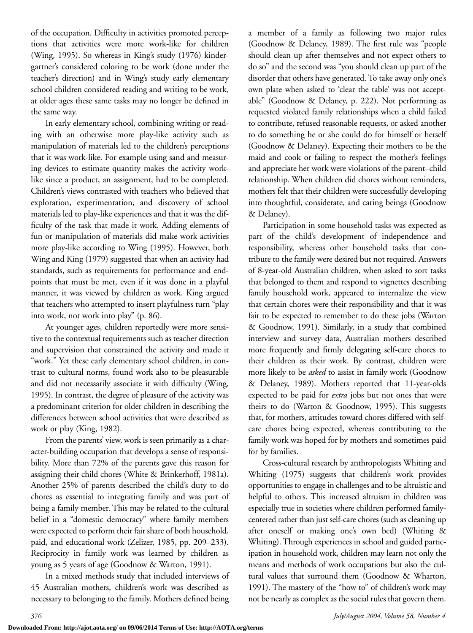of the occupation. Difficulty in activities promoted perceptions that activities were more work-like for children (Wing, 1995). So whereas in King's study (1976) kindergartner's considered coloring to be work (done under the teacher's direction) and in Wing's study early elementary school children considered reading and writing to be work, at older ages these same tasks may no longer be defined in the same way.

In early elementary school, combining writing or reading with an otherwise more play-like activity such as manipulation of materials led to the children's perceptions that it was work-like. For example using sand and measuring devices to estimate quantity makes the activity worklike since a product, an assignment, had to be completed. Children's views contrasted with teachers who believed that exploration, experimentation, and discovery of school materials led to play-like experiences and that it was the difficulty of the task that made it work. Adding elements of fun or manipulation of materials did make work activities more play-like according to Wing (1995). However, both Wing and King (1979) suggested that when an activity had standards, such as requirements for performance and endpoints that must be met, even if it was done in a playful manner, it was viewed by children as work. King argued that teachers who attempted to insert playfulness turn "play into work, not work into play" (p. 86).

At younger ages, children reportedly were more sensitive to the contextual requirements such as teacher direction and supervision that constrained the activity and made it "work." Yet these early elementary school children, in contrast to cultural norms, found work also to be pleasurable and did not necessarily associate it with difficulty (Wing, 1995). In contrast, the degree of pleasure of the activity was a predominant criterion for older children in describing the differences between school activities that were described as work or play (King, 1982).

From the parents' view, work is seen primarily as a character-building occupation that develops a sense of responsibility. More than 72% of the parents gave this reason for assigning their child chores (White & Brinkerhoff, 1981a). Another 25% of parents described the child's duty to do chores as essential to integrating family and was part of being a family member. This may be related to the cultural belief in a "domestic democracy" where family members were expected to perform their fair share of both household, paid, and educational work (Zelizer, 1985, pp. 209–233). Reciprocity in family work was learned by children as young as 5 years of age (Goodnow & Warton, 1991).

In a mixed methods study that included interviews of 45 Australian mothers, children's work was described as necessary to belonging to the family. Mothers defined being

a member of a family as following two major rules (Goodnow & Delaney, 1989). The first rule was "people should clean up after themselves and not expect others to do so" and the second was "you should clean up part of the disorder that others have generated. To take away only one's own plate when asked to 'clear the table' was not acceptable" (Goodnow & Delaney, p. 222). Not performing as requested violated family relationships when a child failed to contribute, refused reasonable requests, or asked another to do something he or she could do for himself or herself (Goodnow & Delaney). Expecting their mothers to be the maid and cook or failing to respect the mother's feelings and appreciate her work were violations of the parent–child relationship. When children did chores without reminders, mothers felt that their children were successfully developing into thoughtful, considerate, and caring beings (Goodnow & Delaney).

Participation in some household tasks was expected as part of the child's development of independence and responsibility, whereas other household tasks that contribute to the family were desired but not required. Answers of 8-year-old Australian children, when asked to sort tasks that belonged to them and respond to vignettes describing family household work, appeared to internalize the view that certain chores were their responsibility and that it was fair to be expected to remember to do these jobs (Warton & Goodnow, 1991). Similarly, in a study that combined interview and survey data, Australian mothers described more frequently and firmly delegating self-care chores to their children as their work. By contrast, children were more likely to be *asked* to assist in family work (Goodnow & Delaney, 1989). Mothers reported that 11-year-olds expected to be paid for *extra* jobs but not ones that were theirs to do (Warton & Goodnow, 1995). This suggests that, for mothers, attitudes toward chores differed with selfcare chores being expected, whereas contributing to the family work was hoped for by mothers and sometimes paid for by families.

Cross-cultural research by anthropologists Whiting and Whiting (1975) suggests that children's work provides opportunities to engage in challenges and to be altruistic and helpful to others. This increased altruism in children was especially true in societies where children performed familycentered rather than just self-care chores (such as cleaning up after oneself or making one's own bed) (Whiting & Whiting). Through experiences in school and guided participation in household work, children may learn not only the means and methods of work occupations but also the cultural values that surround them (Goodnow & Wharton, 1991). The mastery of the "how to" of children's work may not be nearly as complex as the social rules that govern them.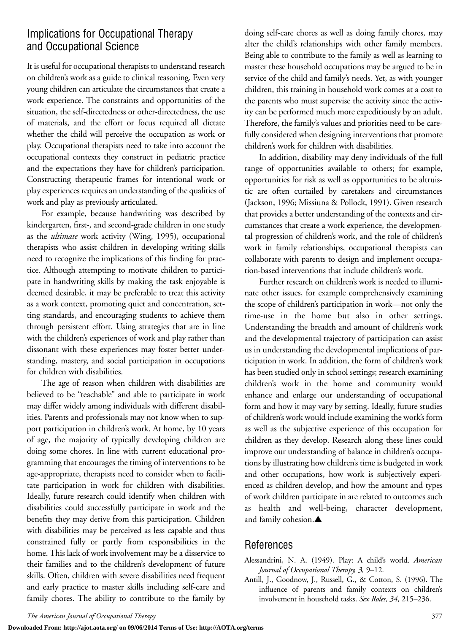## Implications for Occupational Therapy and Occupational Science

It is useful for occupational therapists to understand research on children's work as a guide to clinical reasoning. Even very young children can articulate the circumstances that create a work experience. The constraints and opportunities of the situation, the self-directedness or other-directedness, the use of materials, and the effort or focus required all dictate whether the child will perceive the occupation as work or play. Occupational therapists need to take into account the occupational contexts they construct in pediatric practice and the expectations they have for children's participation. Constructing therapeutic frames for intentional work or play experiences requires an understanding of the qualities of work and play as previously articulated.

For example, because handwriting was described by kindergarten, first-, and second-grade children in one study as the *ultimate* work activity (Wing, 1995), occupational therapists who assist children in developing writing skills need to recognize the implications of this finding for practice. Although attempting to motivate children to participate in handwriting skills by making the task enjoyable is deemed desirable, it may be preferable to treat this activity as a work context, promoting quiet and concentration, setting standards, and encouraging students to achieve them through persistent effort. Using strategies that are in line with the children's experiences of work and play rather than dissonant with these experiences may foster better understanding, mastery, and social participation in occupations for children with disabilities.

The age of reason when children with disabilities are believed to be "teachable" and able to participate in work may differ widely among individuals with different disabilities. Parents and professionals may not know when to support participation in children's work. At home, by 10 years of age, the majority of typically developing children are doing some chores. In line with current educational programming that encourages the timing of interventions to be age-appropriate, therapists need to consider when to facilitate participation in work for children with disabilities. Ideally, future research could identify when children with disabilities could successfully participate in work and the benefits they may derive from this participation. Children with disabilities may be perceived as less capable and thus constrained fully or partly from responsibilities in the home. This lack of work involvement may be a disservice to their families and to the children's development of future skills. Often, children with severe disabilities need frequent and early practice to master skills including self-care and family chores. The ability to contribute to the family by

doing self-care chores as well as doing family chores, may alter the child's relationships with other family members. Being able to contribute to the family as well as learning to master these household occupations may be argued to be in service of the child and family's needs. Yet, as with younger children, this training in household work comes at a cost to the parents who must supervise the activity since the activity can be performed much more expeditiously by an adult. Therefore, the family's values and priorities need to be carefully considered when designing interventions that promote children's work for children with disabilities.

In addition, disability may deny individuals of the full range of opportunities available to others; for example, opportunities for risk as well as opportunities to be altruistic are often curtailed by caretakers and circumstances (Jackson, 1996; Missiuna & Pollock, 1991). Given research that provides a better understanding of the contexts and circumstances that create a work experience, the developmental progression of children's work, and the role of children's work in family relationships, occupational therapists can collaborate with parents to design and implement occupation-based interventions that include children's work.

Further research on children's work is needed to illuminate other issues, for example comprehensively examining the scope of children's participation in work—not only the time-use in the home but also in other settings. Understanding the breadth and amount of children's work and the developmental trajectory of participation can assist us in understanding the developmental implications of participation in work. In addition, the form of children's work has been studied only in school settings; research examining children's work in the home and community would enhance and enlarge our understanding of occupational form and how it may vary by setting. Ideally, future studies of children's work would include examining the work's form as well as the subjective experience of this occupation for children as they develop. Research along these lines could improve our understanding of balance in children's occupations by illustrating how children's time is budgeted in work and other occupations, how work is subjectively experienced as children develop, and how the amount and types of work children participate in are related to outcomes such as health and well-being, character development, and family cohesion.▲

## References

#### Alessandrini, N. A. (1949). Play: A child's world. *American Journal of Occupational Therapy, 3,* 9–12.

Antill, J., Goodnow, J., Russell, G., & Cotton, S. (1996). The influence of parents and family contexts on children's involvement in household tasks. *Sex Roles, 34,* 215–236.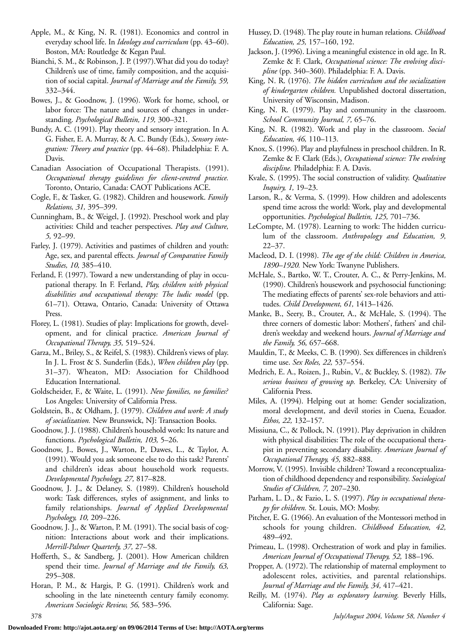- Apple, M., & King, N. R. (1981). Economics and control in everyday school life. In *Ideology and curriculum* (pp. 43–60). Boston, MA: Routledge & Kegan Paul.
- Bianchi, S. M., & Robinson, J. P. (1997).What did you do today? Children's use of time, family composition, and the acquisition of social capital. *Journal of Marriage and the Family, 59,* 332–344.
- Bowes, J., & Goodnow, J. (1996). Work for home, school, or labor force: The nature and sources of changes in understanding. *Psychological Bulletin, 119,* 300–321.
- Bundy, A. C. (1991). Play theory and sensory integration. In A. G. Fisher, E. A. Murray, & A. C. Bundy (Eds.), *Sensory integration: Theory and practice* (pp. 44–68). Philadelphia: F. A. Davis.
- Canadian Association of Occupational Therapists. (1991). *Occupational therapy guidelines for client-centred practice.* Toronto, Ontario, Canada: CAOT Publications ACE.
- Cogle, F., & Tasker, G. (1982). Children and housework. *Family Relations, 31,* 395–399.
- Cunningham, B., & Weigel, J. (1992). Preschool work and play activities: Child and teacher perspectives. *Play and Culture, 5,* 92–99.
- Farley, J. (1979). Activities and pastimes of children and youth: Age, sex, and parental effects. *Journal of Comparative Family Studies, 10,* 385–410.
- Ferland, F. (1997). Toward a new understanding of play in occupational therapy. In F. Ferland, *Play, children with physical disabilities and occupational therapy: The ludic model* (pp. 61–71). Ottawa, Ontario, Canada: University of Ottawa Press.
- Florey, L. (1981). Studies of play: Implications for growth, development, and for clinical practice. *American Journal of Occupational Therapy, 35,* 519–524.
- Garza, M., Briley, S., & Reifel, S. (1983). Children's views of play. In J. L. Frost & S. Sunderlin (Eds.), *When children play* (pp. 31–37). Wheaton, MD: Association for Childhood Education International.
- Goldscheider, F., & Waite, L. (1991). *New families, no families?* Los Angeles: University of California Press.
- Goldstein, B., & Oldham, J. (1979). *Children and work: A study of socialization.* New Brunswick, NJ: Transaction Books.
- Goodnow, J. J. (1988). Children's household work: Its nature and functions. *Psychological Bulletin, 103,* 5–26.
- Goodnow, J., Bowes, J., Warton, P., Dawes, L., & Taylor, A. (1991). Would you ask someone else to do this task? Parents' and children's ideas about household work requests. *Developmental Psychology, 27,* 817–828.
- Goodnow, J. J., & Delaney, S. (1989). Children's household work: Task differences, styles of assignment, and links to family relationships. *Journal of Applied Developmental Psychology, 10,* 209–226.
- Goodnow, J. J., & Warton, P. M. (1991). The social basis of cognition: Interactions about work and their implications. *Merrill-Palmer Quarterly, 37,* 27–58.
- Hofferth, S., & Sandberg, J. (2001). How American children spend their time. *Journal of Marriage and the Family, 63,* 295–308.
- Horan, P. M., & Hargis, P. G. (1991). Children's work and schooling in the late nineteenth century family economy. *American Sociologic Review, 56,* 583–596.
- Hussey, D. (1948). The play route in human relations. *Childhood Education, 25,* 157–160, 192.
- Jackson, J. (1996). Living a meaningful existence in old age. In R. Zemke & F. Clark, *Occupational science: The evolving discipline* (pp. 340–360). Philadelphia: F. A. Davis.
- King, N. R. (1976). *The hidden curriculum and the socialization of kindergarten children.* Unpublished doctoral dissertation, University of Wisconsin, Madison.
- King, N. R. (1979). Play and community in the classroom. *School Community Journal, 7,* 65–76.
- King, N. R. (1982). Work and play in the classroom. *Social Education, 46,* 110–113.
- Knox, S. (1996). Play and playfulness in preschool children. In R. Zemke & F. Clark (Eds.), *Occupational science: The evolving discipline.* Philadelphia: F. A. Davis.
- Kvale, S. (1995). The social construction of validity. *Qualitative Inquiry, 1,* 19–23.
- Larson, R., & Verma, S. (1999). How children and adolescents spend time across the world: Work, play and developmental opportunities. *Psychological Bulletin, 125,* 701–736.
- LeCompte, M. (1978). Learning to work: The hidden curriculum of the classroom. *Anthropology and Education, 9,* 22–37.
- Macleod, D. I. (1998). *The age of the child: Children in America, 1890–1920.* New York: Twanyne Publishers.
- McHale, S., Bartko, W. T., Crouter, A. C., & Perry-Jenkins, M. (1990). Children's housework and psychosocial functioning: The mediating effects of parents' sex-role behaviors and attitudes. *Child Development, 61,* 1413–1426.
- Manke, B., Seery, B., Crouter, A., & McHale, S. (1994). The three corners of domestic labor: Mothers', fathers' and children's weekday and weekend hours. *Journal of Marriage and the Family, 56,* 657–668.
- Mauldin, T., & Meeks, C. B. (1990). Sex differences in children's time use. *Sex Roles, 22,* 537–554.
- Medrich, E. A., Roizen, J., Rubin, V., & Buckley, S. (1982). *The serious business of growing up.* Berkeley, CA: University of California Press.
- Miles, A. (1994). Helping out at home: Gender socialization, moral development, and devil stories in Cuena, Ecuador. *Ethos, 22,* 132–157.
- Missiuna, C., & Pollock, N. (1991). Play deprivation in children with physical disabilities: The role of the occupational therapist in preventing secondary disability. *American Journal of Occupational Therapy, 45,* 882–888.
- Morrow, V. (1995). Invisible children? Toward a reconceptualization of childhood dependency and responsibility. *Sociological Studies of Children, 7,* 207–230.
- Parham, L. D., & Fazio, L. S. (1997). *Play in occupational therapy for children.* St. Louis, MO: Mosby.
- Pitcher, E. G. (1966). An evaluation of the Montessori method in schools for young children. *Childhood Education, 42,* 489–492.
- Primeau, L. (1998). Orchestration of work and play in families. *American Journal of Occupational Therapy, 52,* 188–196.
- Propper, A. (1972). The relationship of maternal employment to adolescent roles, activities, and parental relationships. *Journal of Marriage and the Family, 34,* 417–421.
- Reilly, M. (1974). *Play as exploratory learning.* Beverly Hills, California: Sage.